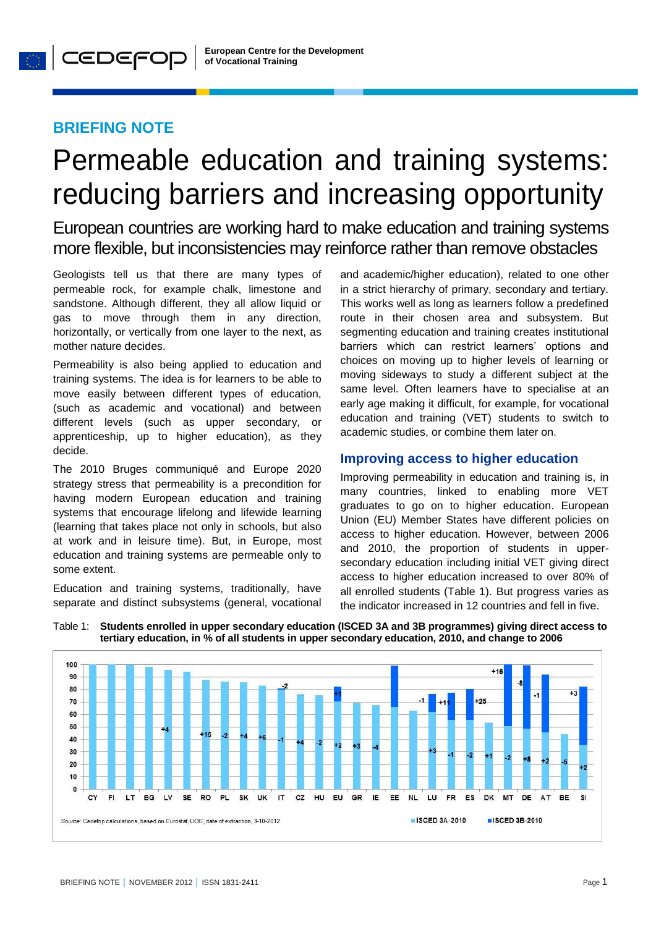## **BRIEFING NOTE**

# Permeable education and training systems: reducing barriers and increasing opportunity

European countries are working hard to make education and training systems more flexible, but inconsistencies may reinforce rather than remove obstacles

Geologists tell us that there are many types of permeable rock, for example chalk, limestone and sandstone. Although different, they all allow liquid or gas to move through them in any direction, horizontally, or vertically from one layer to the next, as mother nature decides.

Permeability is also being applied to education and training systems. The idea is for learners to be able to move easily between different types of education, (such as academic and vocational) and between different levels (such as upper secondary, or apprenticeship, up to higher education), as they decide.

The 2010 Bruges communiqué and Europe 2020 strategy stress that permeability is a precondition for having modern European education and training systems that encourage lifelong and lifewide learning (learning that takes place not only in schools, but also at work and in leisure time). But, in Europe, most education and training systems are permeable only to some extent.

Education and training systems, traditionally, have separate and distinct subsystems (general, vocational and academic/higher education), related to one other in a strict hierarchy of primary, secondary and tertiary. This works well as long as learners follow a predefined route in their chosen area and subsystem. But segmenting education and training creates institutional barriers which can restrict learners' options and choices on moving up to higher levels of learning or moving sideways to study a different subject at the same level. Often learners have to specialise at an early age making it difficult, for example, for vocational education and training (VET) students to switch to academic studies, or combine them later on.

## **Improving access to higher education**

Improving permeability in education and training is, in many countries, linked to enabling more VET graduates to go on to higher education. European Union (EU) Member States have different policies on access to higher education. However, between 2006 and 2010, the proportion of students in uppersecondary education including initial VET giving direct access to higher education increased to over 80% of all enrolled students (Table 1). But progress varies as the indicator increased in 12 countries and fell in five.



Table 1: **Students enrolled in upper secondary education (ISCED 3A and 3B programmes) giving direct access to tertiary education, in % of all students in upper secondary education, 2010, and change to 2006**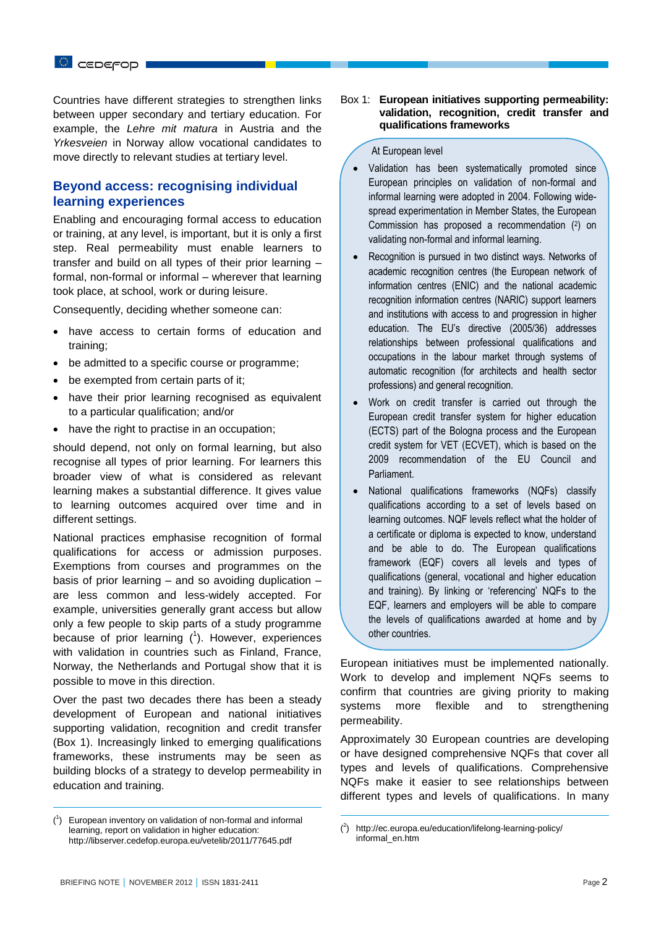Countries have different strategies to strengthen links between upper secondary and tertiary education. For example, the *Lehre mit matura* in Austria and the *Yrkesveien* in Norway allow vocational candidates to move directly to relevant studies at tertiary level.

## **Beyond access: recognising individual learning experiences**

Enabling and encouraging formal access to education or training, at any level, is important, but it is only a first step. Real permeability must enable learners to transfer and build on all types of their prior learning – formal, non-formal or informal – wherever that learning took place, at school, work or during leisure.

Consequently, deciding whether someone can:

- have access to certain forms of education and training;
- be admitted to a specific course or programme;
- be exempted from certain parts of it;
- have their prior learning recognised as equivalent to a particular qualification; and/or
- have the right to practise in an occupation:

should depend, not only on formal learning, but also recognise all types of prior learning. For learners this broader view of what is considered as relevant learning makes a substantial difference. It gives value to learning outcomes acquired over time and in different settings.

National practices emphasise recognition of formal qualifications for access or admission purposes. Exemptions from courses and programmes on the basis of prior learning – and so avoiding duplication – are less common and less-widely accepted. For example, universities generally grant access but allow only a few people to skip parts of a study programme because of prior learning  $(^1)$ . However, experiences with validation in countries such as Finland, France, Norway, the Netherlands and Portugal show that it is possible to move in this direction.

Over the past two decades there has been a steady development of European and national initiatives supporting validation, recognition and credit transfer (Box 1). Increasingly linked to emerging qualifications frameworks, these instruments may be seen as building blocks of a strategy to develop permeability in education and training.

#### Box 1: **European initiatives supporting permeability: validation, recognition, credit transfer and qualifications frameworks**

#### At European level

- Validation has been systematically promoted since European principles on validation of non-formal and informal learning were adopted in 2004. Following widespread experimentation in Member States, the European Commission has proposed a recommendation (2) on validating non-formal and informal learning.
- Recognition is pursued in two distinct ways. Networks of academic recognition centres (the European network of information centres (ENIC) and the national academic recognition information centres (NARIC) support learners and institutions with access to and progression in higher education. The EU's directive (2005/36) addresses relationships between professional qualifications and occupations in the labour market through systems of automatic recognition (for architects and health sector professions) and general recognition.
- Work on credit transfer is carried out through the European credit transfer system for higher education (ECTS) part of the Bologna process and the European credit system for VET (ECVET), which is based on the 2009 recommendation of the EU Council and Parliament.
- National qualifications frameworks (NQFs) classify qualifications according to a set of levels based on learning outcomes. NQF levels reflect what the holder of a certificate or diploma is expected to know, understand and be able to do. The European qualifications framework (EQF) covers all levels and types of qualifications (general, vocational and higher education and training). By linking or 'referencing' NQFs to the EQF, learners and employers will be able to compare the levels of qualifications awarded at home and by other countries.

European initiatives must be implemented nationally. Work to develop and implement NQFs seems to confirm that countries are giving priority to making systems more flexible and to strengthening permeability.

Approximately 30 European countries are developing or have designed comprehensive NQFs that cover all types and levels of qualifications. Comprehensive NQFs make it easier to see relationships between different types and levels of qualifications. In many

 $\overline{a}$ 

 $\overline{a}$ 

<sup>(</sup> 1 ) European inventory on validation of non-formal and informal learning, report on validation in higher education: <http://libserver.cedefop.europa.eu/vetelib/2011/77645.pdf>

 $($ <sup>2</sup> ) http://ec.europa.eu/education/lifelong-learning-policy/ informal\_en.htm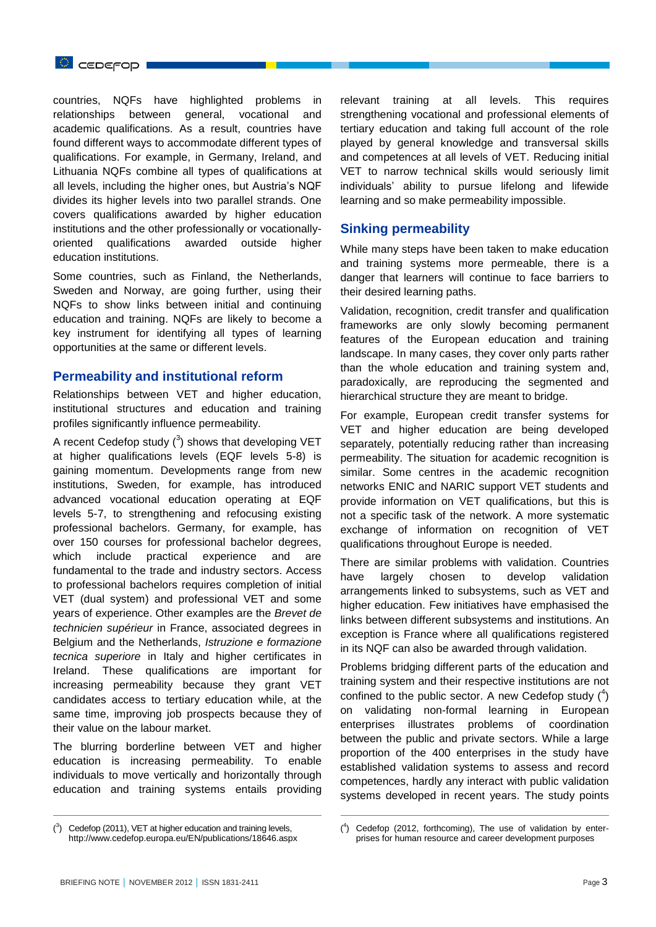

countries, NQFs have highlighted problems in relationships between general, vocational and academic qualifications. As a result, countries have found different ways to accommodate different types of qualifications. For example, in Germany, Ireland, and Lithuania NQFs combine all types of qualifications at all levels, including the higher ones, but Austria's NQF divides its higher levels into two parallel strands. One covers qualifications awarded by higher education institutions and the other professionally or vocationallyoriented qualifications awarded outside higher education institutions.

Some countries, such as Finland, the Netherlands, Sweden and Norway, are going further, using their NQFs to show links between initial and continuing education and training. NQFs are likely to become a key instrument for identifying all types of learning opportunities at the same or different levels.

## **Permeability and institutional reform**

Relationships between VET and higher education, institutional structures and education and training profiles significantly influence permeability.

A recent Cedefop study  $(^3)$  shows that developing VET at higher qualifications levels (EQF levels 5-8) is gaining momentum. Developments range from new institutions, Sweden, for example, has introduced advanced vocational education operating at EQF levels 5-7, to strengthening and refocusing existing professional bachelors. Germany, for example, has over 150 courses for professional bachelor degrees, which include practical experience and are fundamental to the trade and industry sectors. Access to professional bachelors requires completion of initial VET (dual system) and professional VET and some years of experience. Other examples are the *Brevet de technicien supérieur* in France, associated degrees in Belgium and the Netherlands, *Istruzione e formazione tecnica superiore* in Italy and higher certificates in Ireland. These qualifications are important for increasing permeability because they grant VET candidates access to tertiary education while, at the same time, improving job prospects because they of their value on the labour market.

The blurring borderline between VET and higher education is increasing permeability. To enable individuals to move vertically and horizontally through education and training systems entails providing relevant training at all levels. This requires strengthening vocational and professional elements of tertiary education and taking full account of the role played by general knowledge and transversal skills and competences at all levels of VET. Reducing initial VET to narrow technical skills would seriously limit individuals' ability to pursue lifelong and lifewide learning and so make permeability impossible.

## **Sinking permeability**

While many steps have been taken to make education and training systems more permeable, there is a danger that learners will continue to face barriers to their desired learning paths.

Validation, recognition, credit transfer and qualification frameworks are only slowly becoming permanent features of the European education and training landscape. In many cases, they cover only parts rather than the whole education and training system and, paradoxically, are reproducing the segmented and hierarchical structure they are meant to bridge.

For example, European credit transfer systems for VET and higher education are being developed separately, potentially reducing rather than increasing permeability. The situation for academic recognition is similar. Some centres in the academic recognition networks ENIC and NARIC support VET students and provide information on VET qualifications, but this is not a specific task of the network. A more systematic exchange of information on recognition of VET qualifications throughout Europe is needed.

There are similar problems with validation. Countries have largely chosen to develop validation arrangements linked to subsystems, such as VET and higher education. Few initiatives have emphasised the links between different subsystems and institutions. An exception is France where all qualifications registered in its NQF can also be awarded through validation.

Problems bridging different parts of the education and training system and their respective institutions are not confined to the public sector. A new Cedefop study  $(^4)$ on validating non-formal learning in European enterprises illustrates problems of coordination between the public and private sectors. While a large proportion of the 400 enterprises in the study have established validation systems to assess and record competences, hardly any interact with public validation systems developed in recent years. The study points

 $\overline{a}$ 

 $\overline{a}$ 

 $(^{3})$  Cedefop (2011), VET at higher education and training levels, <http://www.cedefop.europa.eu/EN/publications/18646.aspx>

 $($ <sup>4</sup> ) Cedefop (2012, forthcoming), The use of validation by enterprises for human resource and career development purposes